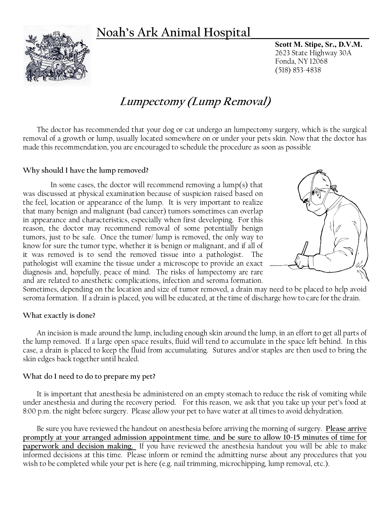## **Noah's Ark Animal Hospital\_\_\_\_\_\_\_\_\_\_\_\_\_\_\_\_\_\_\_\_\_\_\_**

**Scott M. Stipe, Sr., D.V.M.** 2623 State Highway 30A Fonda, NY 12068 (518) 853-4838

# **Lumpectomy (Lump Removal)**

The doctor has recommended that your dog or cat undergo an lumpectomy surgery, which is the surgical removal of a growth or lump, usually located somewhere on or under your pets skin. Now that the doctor has made this recommendation, you are encouraged to schedule the procedure as soon as possible

## **Why should I have the lump removed?**

In some cases, the doctor will recommend removing a lump(s) that was discussed at physical examination because of suspicion raised based on the feel, location or appearance of the lump. It is very important to realize that many benign and malignant (bad cancer) tumors sometimes can overlap in appearance and characteristics, especially when first developing. For this reason, the doctor may recommend removal of some potentially benign tumors, just to be safe. Once the tumor/ lump is removed, the only way to know for sure the tumor type, whether it is benign or malignant, and if all of it was removed is to send the removed tissue into a pathologist. The pathologist will examine the tissue under a microscope to provide an exact diagnosis and, hopefully, peace of mind. The risks of lumpectomy are rare and are related to anesthetic complications, infection and seroma formation.

Sometimes, depending on the location and size of tumor removed, a drain may need to be placed to help avoid seroma formation. If a drain is placed, you will be educated, at the time of discharge how to care for the drain.

### **What exactly is done?**

An incision is made around the lump, including enough skin around the lump, in an effort to get all parts of the lump removed. If a large open space results, fluid will tend to accumulate in the space left behind. In this case, a drain is placed to keep the fluid from accumulating. Sutures and/or staples are then used to bring the skin edges back together until healed.

### **What do I need to do to prepare my pet?**

It is important that anesthesia be administered on an empty stomach to reduce the risk of vomiting while under anesthesia and during the recovery period. For this reason, we ask that you take up your pet's food at 8:00 p.m. the night before surgery. Please allow your pet to have water at all times to avoid dehydration.

Be sure you have reviewed the handout on anesthesia before arriving the morning of surgery. **Please arrive promptly at your arranged admission appointment time. and be sure to allow 10-15 minutes of time for paperwork and decision making.** If you have reviewed the anesthesia handout you will be able to make informed decisions at this time. Please inform or remind the admitting nurse about any procedures that you wish to be completed while your pet is here (e.g. nail trimming, microchipping, lump removal, etc.).